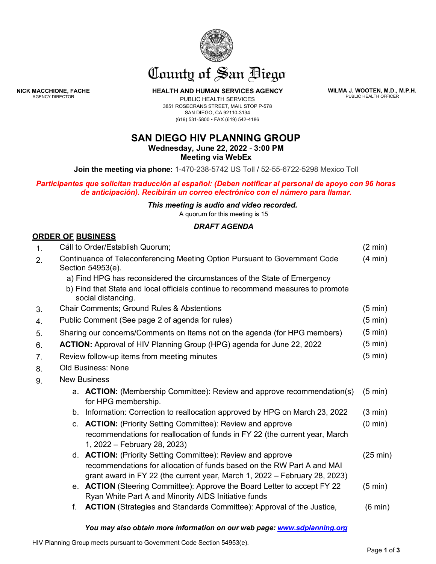

# County of San Biego

**HEALTH AND HUMAN SERVICES AGENCY**

**WILMA J. WOOTEN, M.D., M.P.H.** PUBLIC HEALTH OFFICER

PUBLIC HEALTH SERVICES 3851 ROSECRANS STREET, MAIL STOP P-578 SAN DIEGO, CA 92110-3134 (619) 531-5800 • FAX (619) 542-4186

## **SAN DIEGO HIV PLANNING GROUP**

**Wednesday, June 22, 2022** - **3:00 PM Meeting via WebEx**

**Join the meeting via phone:** 1-470-238-5742 US Toll / 52-55-6722-5298 Mexico Toll

*Participantes que solicitan traducción al español: (Deben notificar al personal de apoyo con 96 horas de anticipación). Recibirán un correo electrónico con el número para llamar.*

#### *This meeting is audio and video recorded.*

A quorum for this meeting is 15

### *DRAFT AGENDA*

| <b>ORDER OF BUSINESS</b> |  |
|--------------------------|--|
|--------------------------|--|

**NICK MACCHIONE, FACHE** AGENCY DIRECTOR

| $\mathbf{1}$ . |                                                                                                 | Call to Order/Establish Quorum;<br>$(2 \text{ min})$                                                                                                 |                    |  |
|----------------|-------------------------------------------------------------------------------------------------|------------------------------------------------------------------------------------------------------------------------------------------------------|--------------------|--|
| 2.             | Continuance of Teleconferencing Meeting Option Pursuant to Government Code<br>Section 54953(e). |                                                                                                                                                      |                    |  |
|                | a) Find HPG has reconsidered the circumstances of the State of Emergency                        |                                                                                                                                                      |                    |  |
|                |                                                                                                 | b) Find that State and local officials continue to recommend measures to promote<br>social distancing.                                               |                    |  |
| 3.             |                                                                                                 | <b>Chair Comments; Ground Rules &amp; Abstentions</b>                                                                                                | $(5 \text{ min})$  |  |
| 4.             |                                                                                                 | Public Comment (See page 2 of agenda for rules)                                                                                                      | $(5 \text{ min})$  |  |
| 5.             |                                                                                                 | Sharing our concerns/Comments on Items not on the agenda (for HPG members)                                                                           | $(5 \text{ min})$  |  |
| 6.             |                                                                                                 | <b>ACTION:</b> Approval of HIV Planning Group (HPG) agenda for June 22, 2022                                                                         | $(5 \text{ min})$  |  |
| 7.             |                                                                                                 | Review follow-up items from meeting minutes                                                                                                          | $(5 \text{ min})$  |  |
| 8.             | <b>Old Business: None</b>                                                                       |                                                                                                                                                      |                    |  |
| 9.             | <b>New Business</b>                                                                             |                                                                                                                                                      |                    |  |
|                |                                                                                                 | a. <b>ACTION:</b> (Membership Committee): Review and approve recommendation(s)<br>for HPG membership.                                                | $(5 \text{ min})$  |  |
|                |                                                                                                 | b. Information: Correction to reallocation approved by HPG on March 23, 2022                                                                         | $(3 \text{ min})$  |  |
|                |                                                                                                 | c. <b>ACTION:</b> (Priority Setting Committee): Review and approve                                                                                   | $(0 \text{ min})$  |  |
|                |                                                                                                 | recommendations for reallocation of funds in FY 22 (the current year, March<br>1, 2022 – February 28, 2023)                                          |                    |  |
|                |                                                                                                 | d. <b>ACTION:</b> (Priority Setting Committee): Review and approve                                                                                   | $(25 \text{ min})$ |  |
|                |                                                                                                 | recommendations for allocation of funds based on the RW Part A and MAI<br>grant award in FY 22 (the current year, March 1, 2022 – February 28, 2023) |                    |  |
|                |                                                                                                 | e. <b>ACTION</b> (Steering Committee): Approve the Board Letter to accept FY 22<br>Ryan White Part A and Minority AIDS Initiative funds              | $(5 \text{ min})$  |  |
|                | f.                                                                                              | <b>ACTION</b> (Strategies and Standards Committee): Approval of the Justice,                                                                         | $(6 \text{ min})$  |  |

#### *You may also obtain more information on our web page[: www.sdplanning.org](http://www.sdplanning.org/)*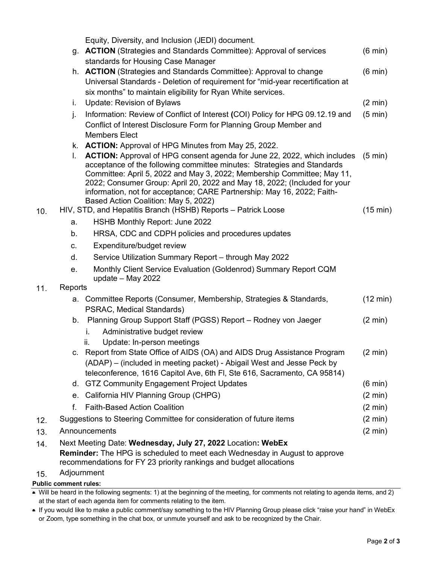|     |                              | Equity, Diversity, and Inclusion (JEDI) document.                                                                                                                                                                                                                                                                                                                                                                                                                                                                                                               |                               |
|-----|------------------------------|-----------------------------------------------------------------------------------------------------------------------------------------------------------------------------------------------------------------------------------------------------------------------------------------------------------------------------------------------------------------------------------------------------------------------------------------------------------------------------------------------------------------------------------------------------------------|-------------------------------|
|     |                              | g. <b>ACTION</b> (Strategies and Standards Committee): Approval of services<br>standards for Housing Case Manager                                                                                                                                                                                                                                                                                                                                                                                                                                               | $(6 \text{ min})$             |
|     |                              | h. <b>ACTION</b> (Strategies and Standards Committee): Approval to change<br>Universal Standards - Deletion of requirement for "mid-year recertification at<br>six months" to maintain eligibility for Ryan White services.                                                                                                                                                                                                                                                                                                                                     | $(6 \text{ min})$             |
|     | i.                           | <b>Update: Revision of Bylaws</b>                                                                                                                                                                                                                                                                                                                                                                                                                                                                                                                               | $(2 \text{ min})$             |
|     | j.                           | Information: Review of Conflict of Interest (COI) Policy for HPG 09.12.19 and<br>Conflict of Interest Disclosure Form for Planning Group Member and<br><b>Members Elect</b>                                                                                                                                                                                                                                                                                                                                                                                     | $(5 \text{ min})$             |
| 10. | L.                           | k. <b>ACTION:</b> Approval of HPG Minutes from May 25, 2022.<br>ACTION: Approval of HPG consent agenda for June 22, 2022, which includes<br>acceptance of the following committee minutes: Strategies and Standards<br>Committee: April 5, 2022 and May 3, 2022; Membership Committee; May 11,<br>2022; Consumer Group: April 20, 2022 and May 18, 2022; (Included for your<br>information, not for acceptance; CARE Partnership: May 16, 2022; Faith-<br>Based Action Coalition: May 5, 2022)<br>HIV, STD, and Hepatitis Branch (HSHB) Reports - Patrick Loose | $(5 \text{ min})$<br>(15 min) |
|     | a.                           | HSHB Monthly Report: June 2022                                                                                                                                                                                                                                                                                                                                                                                                                                                                                                                                  |                               |
|     | b.                           | HRSA, CDC and CDPH policies and procedures updates                                                                                                                                                                                                                                                                                                                                                                                                                                                                                                              |                               |
|     | C.                           | Expenditure/budget review                                                                                                                                                                                                                                                                                                                                                                                                                                                                                                                                       |                               |
|     | d.                           | Service Utilization Summary Report - through May 2022                                                                                                                                                                                                                                                                                                                                                                                                                                                                                                           |                               |
|     | e.                           | Monthly Client Service Evaluation (Goldenrod) Summary Report CQM<br>update $-$ May 2022                                                                                                                                                                                                                                                                                                                                                                                                                                                                         |                               |
| 11. | Reports                      |                                                                                                                                                                                                                                                                                                                                                                                                                                                                                                                                                                 |                               |
|     |                              | a. Committee Reports (Consumer, Membership, Strategies & Standards,<br>PSRAC, Medical Standards)                                                                                                                                                                                                                                                                                                                                                                                                                                                                | $(12 \text{ min})$            |
|     |                              | b. Planning Group Support Staff (PGSS) Report - Rodney von Jaeger                                                                                                                                                                                                                                                                                                                                                                                                                                                                                               | $(2 \text{ min})$             |
|     |                              | i.<br>Administrative budget review                                                                                                                                                                                                                                                                                                                                                                                                                                                                                                                              |                               |
|     |                              | Update: In-person meetings<br>ii.<br>c. Report from State Office of AIDS (OA) and AIDS Drug Assistance Program<br>(ADAP) – (included in meeting packet) - Abigail West and Jesse Peck by<br>teleconference, 1616 Capitol Ave, 6th Fl, Ste 616, Sacramento, CA 95814)                                                                                                                                                                                                                                                                                            | $(2 \text{ min})$             |
|     |                              | d. GTZ Community Engagement Project Updates                                                                                                                                                                                                                                                                                                                                                                                                                                                                                                                     | $(6 \text{ min})$             |
|     |                              | e. California HIV Planning Group (CHPG)                                                                                                                                                                                                                                                                                                                                                                                                                                                                                                                         | $(2 \text{ min})$             |
|     | f.                           | <b>Faith-Based Action Coalition</b>                                                                                                                                                                                                                                                                                                                                                                                                                                                                                                                             | $(2 \text{ min})$             |
| 12. |                              | Suggestions to Steering Committee for consideration of future items                                                                                                                                                                                                                                                                                                                                                                                                                                                                                             | $(2 \text{ min})$             |
| 13. |                              | Announcements                                                                                                                                                                                                                                                                                                                                                                                                                                                                                                                                                   | $(2 \text{ min})$             |
| 14. |                              | Next Meeting Date: Wednesday, July 27, 2022 Location: WebEx                                                                                                                                                                                                                                                                                                                                                                                                                                                                                                     |                               |
|     |                              | <b>Reminder:</b> The HPG is scheduled to meet each Wednesday in August to approve<br>recommendations for FY 23 priority rankings and budget allocations                                                                                                                                                                                                                                                                                                                                                                                                         |                               |
| 15. |                              | Adjournment                                                                                                                                                                                                                                                                                                                                                                                                                                                                                                                                                     |                               |
|     | <b>Public comment rules:</b> |                                                                                                                                                                                                                                                                                                                                                                                                                                                                                                                                                                 |                               |

• Will be heard in the following segments: 1) at the beginning of the meeting, for comments not relating to agenda items, and 2) at the start of each agenda item for comments relating to the item.

• If you would like to make a public comment/say something to the HIV Planning Group please click "raise your hand" in WebEx or Zoom, type something in the chat box, or unmute yourself and ask to be recognized by the Chair.